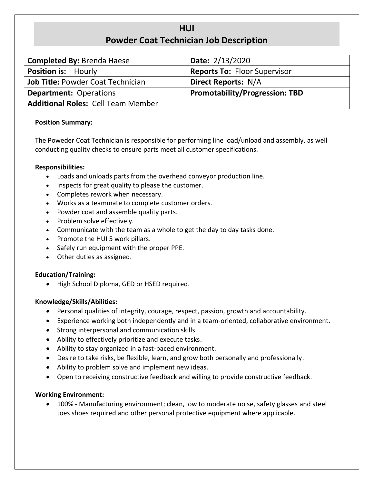# **HUI Powder Coat Technician Job Description**

| <b>Completed By: Brenda Haese</b>         | Date: 2/13/2020                       |  |  |
|-------------------------------------------|---------------------------------------|--|--|
| <b>Position is: Hourly</b>                | <b>Reports To: Floor Supervisor</b>   |  |  |
| <b>Job Title: Powder Coat Technician</b>  | <b>Direct Reports: N/A</b>            |  |  |
| <b>Department: Operations</b>             | <b>Promotability/Progression: TBD</b> |  |  |
| <b>Additional Roles: Cell Team Member</b> |                                       |  |  |

## **Position Summary:**

The Poweder Coat Technician is responsible for performing line load/unload and assembly, as well conducting quality checks to ensure parts meet all customer specifications.

## **Responsibilities:**

- Loads and unloads parts from the overhead conveyor production line.
- Inspects for great quality to please the customer.
- Completes rework when necessary.
- Works as a teammate to complete customer orders.
- Powder coat and assemble quality parts.
- Problem solve effectively.
- Communicate with the team as a whole to get the day to day tasks done.
- Promote the HUI 5 work pillars.
- Safely run equipment with the proper PPE.
- Other duties as assigned.

# **Education/Training:**

• High School Diploma, GED or HSED required.

### **Knowledge/Skills/Abilities:**

- Personal qualities of integrity, courage, respect, passion, growth and accountability.
- Experience working both independently and in a team-oriented, collaborative environment.
- Strong interpersonal and communication skills.
- Ability to effectively prioritize and execute tasks.
- Ability to stay organized in a fast-paced environment.
- Desire to take risks, be flexible, learn, and grow both personally and professionally.
- Ability to problem solve and implement new ideas.
- Open to receiving constructive feedback and willing to provide constructive feedback.

### **Working Environment:**

• 100% - Manufacturing environment; clean, low to moderate noise, safety glasses and steel toes shoes required and other personal protective equipment where applicable.